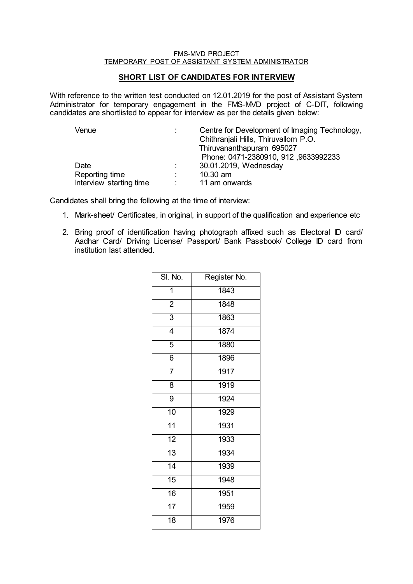## FMS-MVD PROJECT TEMPORARY POST OF ASSISTANT SYSTEM ADMINISTRATOR

## **SHORT LIST OF CANDIDATES FOR INTERVIEW**

With reference to the written test conducted on 12.01.2019 for the post of Assistant System Administrator for temporary engagement in the FMS-MVD project of C-DIT, following candidates are shortlisted to appear for interview as per the details given below:

| Venue                   |            | Centre for Development of Imaging Technology, |
|-------------------------|------------|-----------------------------------------------|
|                         |            | Chithraniali Hills, Thiruvallom P.O.          |
|                         |            | Thiruvananthapuram 695027                     |
|                         |            | Phone: 0471-2380910, 912, 9633992233          |
| Date                    | D.         | 30.01.2019, Wednesday                         |
| Reporting time          |            | $10.30$ am                                    |
| Interview starting time | $\sim 100$ | 11 am onwards                                 |

Candidates shall bring the following at the time of interview:

- 1. Mark-sheet/ Certificates, in original, in support of the qualification and experience etc
- 2. Bring proof of identification having photograph affixed such as Electoral ID card/ Aadhar Card/ Driving License/ Passport/ Bank Passbook/ College ID card from institution last attended.

| SI. No.         | Register No. |
|-----------------|--------------|
| 1               | 1843         |
| $\overline{2}$  | 1848         |
| $\overline{3}$  | 1863         |
| 4               | 1874         |
| 5               | 1880         |
| $\overline{6}$  | 1896         |
| $\overline{7}$  | 1917         |
| 8               | 1919         |
| $\overline{9}$  | 1924         |
| $\overline{10}$ | 1929         |
| $\overline{11}$ | 1931         |
| $\overline{12}$ | 1933         |
| $\overline{13}$ | 1934         |
| $\overline{14}$ | 1939         |
| 15              | 1948         |
| 16              | 1951         |
| 17              | 1959         |
| 18              | 1976         |